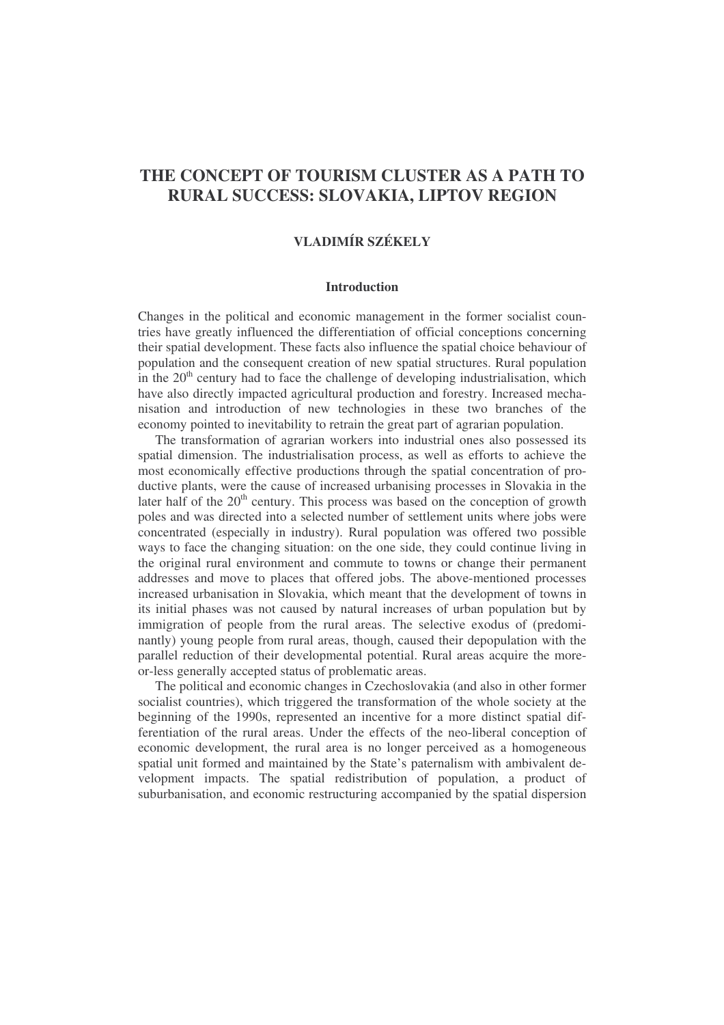# **THE CONCEPT OF TOURISM CLUSTER AS A PATH TO RURAL SUCCESS: SLOVAKIA, LIPTOV REGION**

# **VLADIMÍR SZÉKELY**

### **Introduction**

Changes in the political and economic management in the former socialist countries have greatly influenced the differentiation of official conceptions concerning their spatial development. These facts also influence the spatial choice behaviour of population and the consequent creation of new spatial structures. Rural population in the  $20<sup>th</sup>$  century had to face the challenge of developing industrialisation, which have also directly impacted agricultural production and forestry. Increased mechanisation and introduction of new technologies in these two branches of the economy pointed to inevitability to retrain the great part of agrarian population.

The transformation of agrarian workers into industrial ones also possessed its spatial dimension. The industrialisation process, as well as efforts to achieve the most economically effective productions through the spatial concentration of productive plants, were the cause of increased urbanising processes in Slovakia in the later half of the  $20<sup>th</sup>$  century. This process was based on the conception of growth poles and was directed into a selected number of settlement units where jobs were concentrated (especially in industry). Rural population was offered two possible ways to face the changing situation: on the one side, they could continue living in the original rural environment and commute to towns or change their permanent addresses and move to places that offered jobs. The above-mentioned processes increased urbanisation in Slovakia, which meant that the development of towns in its initial phases was not caused by natural increases of urban population but by immigration of people from the rural areas. The selective exodus of (predominantly) young people from rural areas, though, caused their depopulation with the parallel reduction of their developmental potential. Rural areas acquire the moreor-less generally accepted status of problematic areas.

The political and economic changes in Czechoslovakia (and also in other former socialist countries), which triggered the transformation of the whole society at the beginning of the 1990s, represented an incentive for a more distinct spatial differentiation of the rural areas. Under the effects of the neo-liberal conception of economic development, the rural area is no longer perceived as a homogeneous spatial unit formed and maintained by the State's paternalism with ambivalent development impacts. The spatial redistribution of population, a product of suburbanisation, and economic restructuring accompanied by the spatial dispersion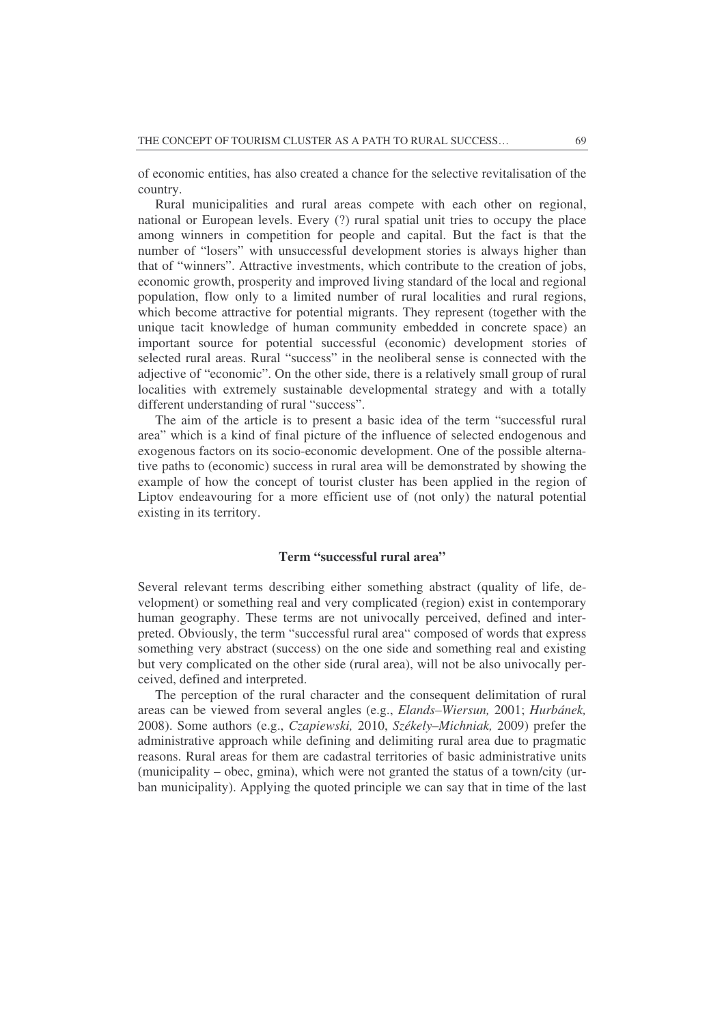of economic entities, has also created a chance for the selective revitalisation of the country.

Rural municipalities and rural areas compete with each other on regional, national or European levels. Every (?) rural spatial unit tries to occupy the place among winners in competition for people and capital. But the fact is that the number of "losers" with unsuccessful development stories is always higher than that of "winners". Attractive investments, which contribute to the creation of jobs, economic growth, prosperity and improved living standard of the local and regional population, flow only to a limited number of rural localities and rural regions, which become attractive for potential migrants. They represent (together with the unique tacit knowledge of human community embedded in concrete space) an important source for potential successful (economic) development stories of selected rural areas. Rural "success" in the neoliberal sense is connected with the adjective of "economic". On the other side, there is a relatively small group of rural localities with extremely sustainable developmental strategy and with a totally different understanding of rural "success".

The aim of the article is to present a basic idea of the term "successful rural area" which is a kind of final picture of the influence of selected endogenous and exogenous factors on its socio-economic development. One of the possible alternative paths to (economic) success in rural area will be demonstrated by showing the example of how the concept of tourist cluster has been applied in the region of Liptov endeavouring for a more efficient use of (not only) the natural potential existing in its territory.

#### **Term "successful rural area"**

Several relevant terms describing either something abstract (quality of life, development) or something real and very complicated (region) exist in contemporary human geography. These terms are not univocally perceived, defined and interpreted. Obviously, the term "successful rural area" composed of words that express something very abstract (success) on the one side and something real and existing but very complicated on the other side (rural area), will not be also univocally perceived, defined and interpreted.

The perception of the rural character and the consequent delimitation of rural areas can be viewed from several angles (e.g., *Elands–Wiersun,* 2001; *Hurbánek,* 2008). Some authors (e.g., *Czapiewski,* 2010, *Székely–Michniak,* 2009) prefer the administrative approach while defining and delimiting rural area due to pragmatic reasons. Rural areas for them are cadastral territories of basic administrative units (municipality – obec, gmina), which were not granted the status of a town/city (urban municipality). Applying the quoted principle we can say that in time of the last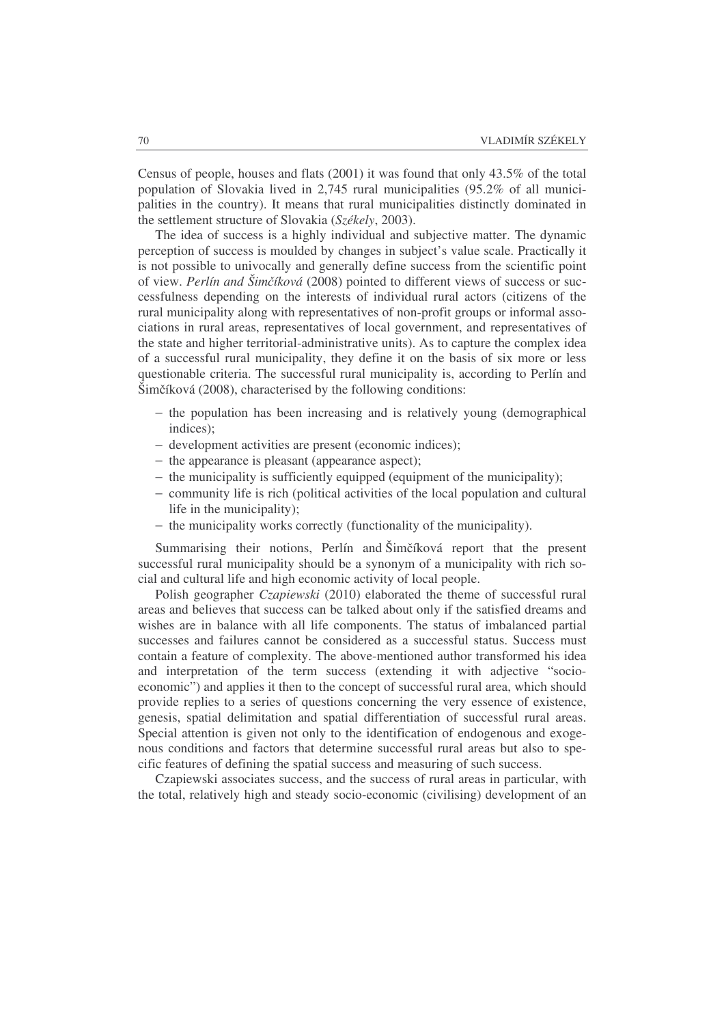Census of people, houses and flats (2001) it was found that only 43.5% of the total population of Slovakia lived in 2,745 rural municipalities (95.2% of all municipalities in the country). It means that rural municipalities distinctly dominated in the settlement structure of Slovakia (*Székely*, 2003).

The idea of success is a highly individual and subjective matter. The dynamic perception of success is moulded by changes in subject's value scale. Practically it is not possible to univocally and generally define success from the scientific point of view. *Perlín and Šimíková* (2008) pointed to different views of success or successfulness depending on the interests of individual rural actors (citizens of the rural municipality along with representatives of non-profit groups or informal associations in rural areas, representatives of local government, and representatives of the state and higher territorial-administrative units). As to capture the complex idea of a successful rural municipality, they define it on the basis of six more or less questionable criteria. The successful rural municipality is, according to Perlín and  $\text{Simčíková}$  (2008), characterised by the following conditions:

- − the population has been increasing and is relatively young (demographical indices);
- − development activities are present (economic indices);
- − the appearance is pleasant (appearance aspect);
- − the municipality is sufficiently equipped (equipment of the municipality);
- − community life is rich (political activities of the local population and cultural life in the municipality);
- − the municipality works correctly (functionality of the municipality).

Summarising their notions, Perlín and Šimčíková report that the present successful rural municipality should be a synonym of a municipality with rich social and cultural life and high economic activity of local people.

Polish geographer *Czapiewski* (2010) elaborated the theme of successful rural areas and believes that success can be talked about only if the satisfied dreams and wishes are in balance with all life components. The status of imbalanced partial successes and failures cannot be considered as a successful status. Success must contain a feature of complexity. The above-mentioned author transformed his idea and interpretation of the term success (extending it with adjective "socioeconomic") and applies it then to the concept of successful rural area, which should provide replies to a series of questions concerning the very essence of existence, genesis, spatial delimitation and spatial differentiation of successful rural areas. Special attention is given not only to the identification of endogenous and exogenous conditions and factors that determine successful rural areas but also to specific features of defining the spatial success and measuring of such success.

Czapiewski associates success, and the success of rural areas in particular, with the total, relatively high and steady socio-economic (civilising) development of an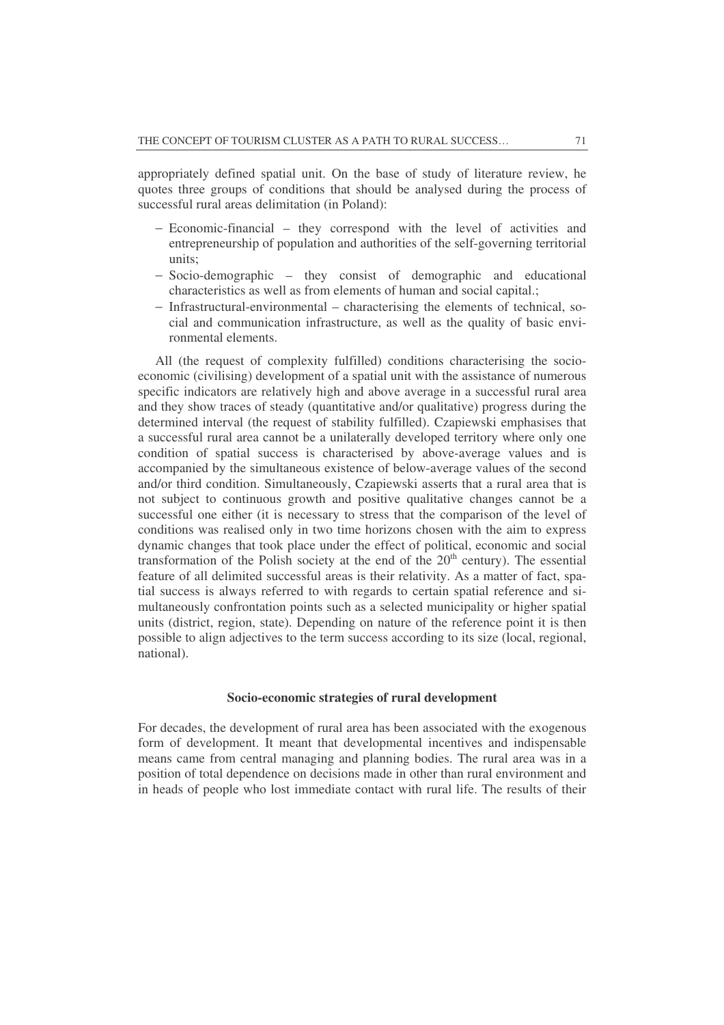appropriately defined spatial unit. On the base of study of literature review, he quotes three groups of conditions that should be analysed during the process of successful rural areas delimitation (in Poland):

- − Economic-financial they correspond with the level of activities and entrepreneurship of population and authorities of the self-governing territorial units;
- − Socio-demographic they consist of demographic and educational characteristics as well as from elements of human and social capital.;
- − Infrastructural-environmental characterising the elements of technical, social and communication infrastructure, as well as the quality of basic environmental elements.

All (the request of complexity fulfilled) conditions characterising the socioeconomic (civilising) development of a spatial unit with the assistance of numerous specific indicators are relatively high and above average in a successful rural area and they show traces of steady (quantitative and/or qualitative) progress during the determined interval (the request of stability fulfilled). Czapiewski emphasises that a successful rural area cannot be a unilaterally developed territory where only one condition of spatial success is characterised by above-average values and is accompanied by the simultaneous existence of below-average values of the second and/or third condition. Simultaneously, Czapiewski asserts that a rural area that is not subject to continuous growth and positive qualitative changes cannot be a successful one either (it is necessary to stress that the comparison of the level of conditions was realised only in two time horizons chosen with the aim to express dynamic changes that took place under the effect of political, economic and social transformation of the Polish society at the end of the  $20<sup>th</sup>$  century). The essential feature of all delimited successful areas is their relativity. As a matter of fact, spatial success is always referred to with regards to certain spatial reference and simultaneously confrontation points such as a selected municipality or higher spatial units (district, region, state). Depending on nature of the reference point it is then possible to align adjectives to the term success according to its size (local, regional, national).

#### **Socio-economic strategies of rural development**

For decades, the development of rural area has been associated with the exogenous form of development. It meant that developmental incentives and indispensable means came from central managing and planning bodies. The rural area was in a position of total dependence on decisions made in other than rural environment and in heads of people who lost immediate contact with rural life. The results of their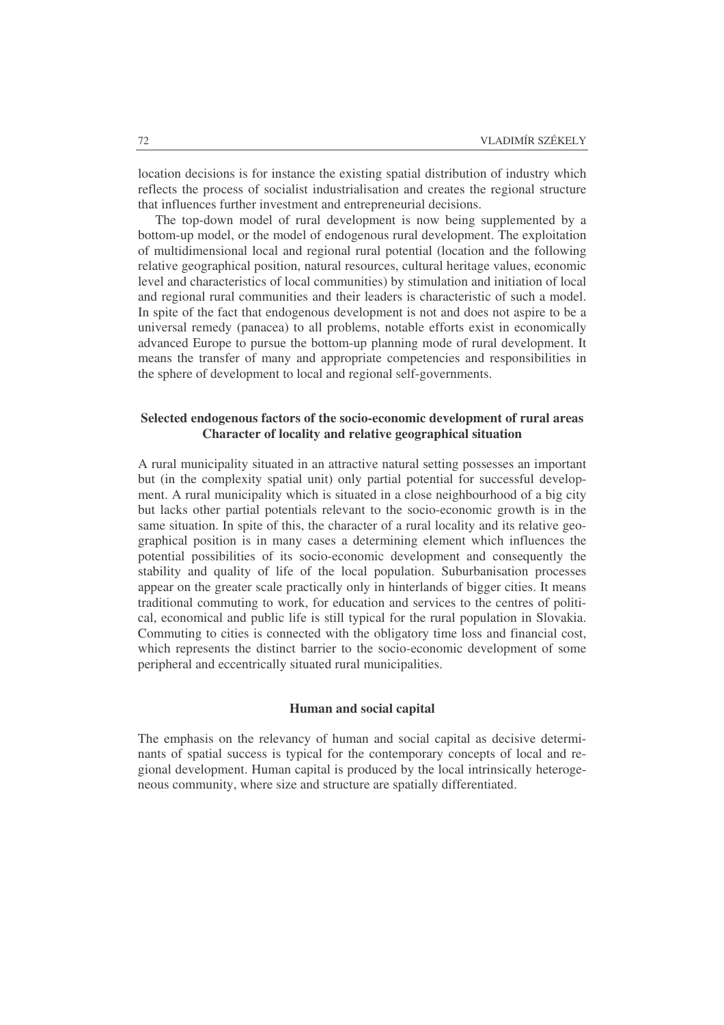location decisions is for instance the existing spatial distribution of industry which reflects the process of socialist industrialisation and creates the regional structure that influences further investment and entrepreneurial decisions.

The top-down model of rural development is now being supplemented by a bottom-up model, or the model of endogenous rural development. The exploitation of multidimensional local and regional rural potential (location and the following relative geographical position, natural resources, cultural heritage values, economic level and characteristics of local communities) by stimulation and initiation of local and regional rural communities and their leaders is characteristic of such a model. In spite of the fact that endogenous development is not and does not aspire to be a universal remedy (panacea) to all problems, notable efforts exist in economically advanced Europe to pursue the bottom-up planning mode of rural development. It means the transfer of many and appropriate competencies and responsibilities in the sphere of development to local and regional self-governments.

## **Selected endogenous factors of the socio-economic development of rural areas Character of locality and relative geographical situation**

A rural municipality situated in an attractive natural setting possesses an important but (in the complexity spatial unit) only partial potential for successful development. A rural municipality which is situated in a close neighbourhood of a big city but lacks other partial potentials relevant to the socio-economic growth is in the same situation. In spite of this, the character of a rural locality and its relative geographical position is in many cases a determining element which influences the potential possibilities of its socio-economic development and consequently the stability and quality of life of the local population. Suburbanisation processes appear on the greater scale practically only in hinterlands of bigger cities. It means traditional commuting to work, for education and services to the centres of political, economical and public life is still typical for the rural population in Slovakia. Commuting to cities is connected with the obligatory time loss and financial cost, which represents the distinct barrier to the socio-economic development of some peripheral and eccentrically situated rural municipalities.

### **Human and social capital**

The emphasis on the relevancy of human and social capital as decisive determinants of spatial success is typical for the contemporary concepts of local and regional development. Human capital is produced by the local intrinsically heterogeneous community, where size and structure are spatially differentiated.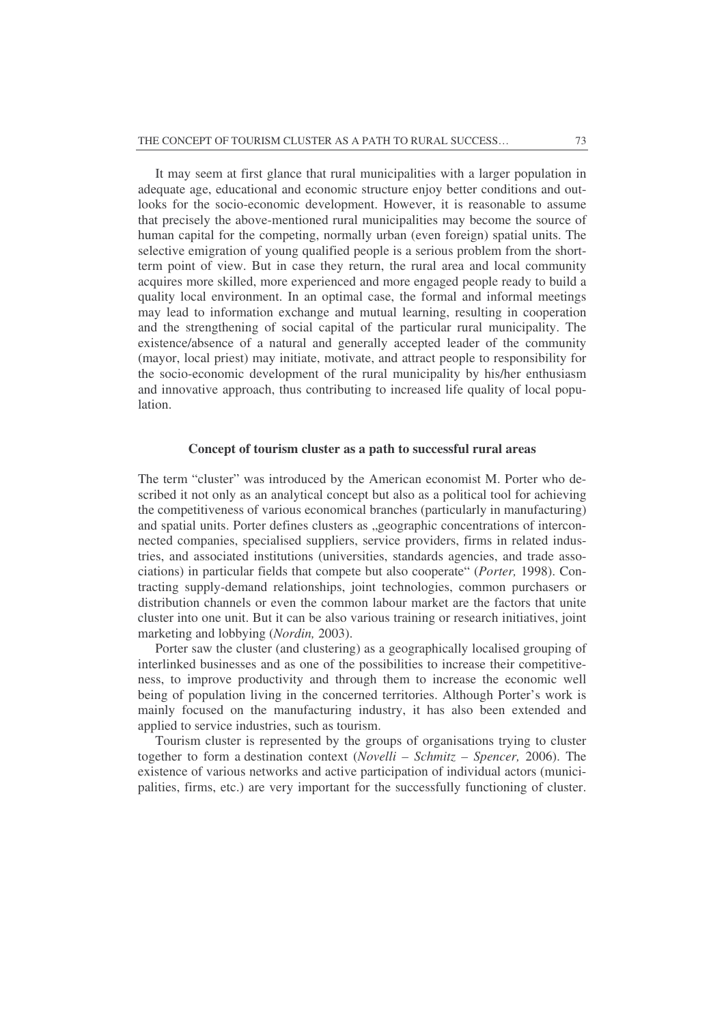It may seem at first glance that rural municipalities with a larger population in adequate age, educational and economic structure enjoy better conditions and outlooks for the socio-economic development. However, it is reasonable to assume that precisely the above-mentioned rural municipalities may become the source of human capital for the competing, normally urban (even foreign) spatial units. The selective emigration of young qualified people is a serious problem from the shortterm point of view. But in case they return, the rural area and local community acquires more skilled, more experienced and more engaged people ready to build a quality local environment. In an optimal case, the formal and informal meetings may lead to information exchange and mutual learning, resulting in cooperation and the strengthening of social capital of the particular rural municipality. The existence/absence of a natural and generally accepted leader of the community (mayor, local priest) may initiate, motivate, and attract people to responsibility for the socio-economic development of the rural municipality by his/her enthusiasm and innovative approach, thus contributing to increased life quality of local population.

#### **Concept of tourism cluster as a path to successful rural areas**

The term "cluster" was introduced by the American economist M. Porter who described it not only as an analytical concept but also as a political tool for achieving the competitiveness of various economical branches (particularly in manufacturing) and spatial units. Porter defines clusters as "geographic concentrations of interconnected companies, specialised suppliers, service providers, firms in related industries, and associated institutions (universities, standards agencies, and trade associations) in particular fields that compete but also cooperate" (*Porter,* 1998). Contracting supply-demand relationships, joint technologies, common purchasers or distribution channels or even the common labour market are the factors that unite cluster into one unit. But it can be also various training or research initiatives, joint marketing and lobbying (*Nordin,* 2003).

Porter saw the cluster (and clustering) as a geographically localised grouping of interlinked businesses and as one of the possibilities to increase their competitiveness, to improve productivity and through them to increase the economic well being of population living in the concerned territories. Although Porter's work is mainly focused on the manufacturing industry, it has also been extended and applied to service industries, such as tourism.

Tourism cluster is represented by the groups of organisations trying to cluster together to form a destination context (*Novelli – Schmitz – Spencer,* 2006). The existence of various networks and active participation of individual actors (municipalities, firms, etc.) are very important for the successfully functioning of cluster.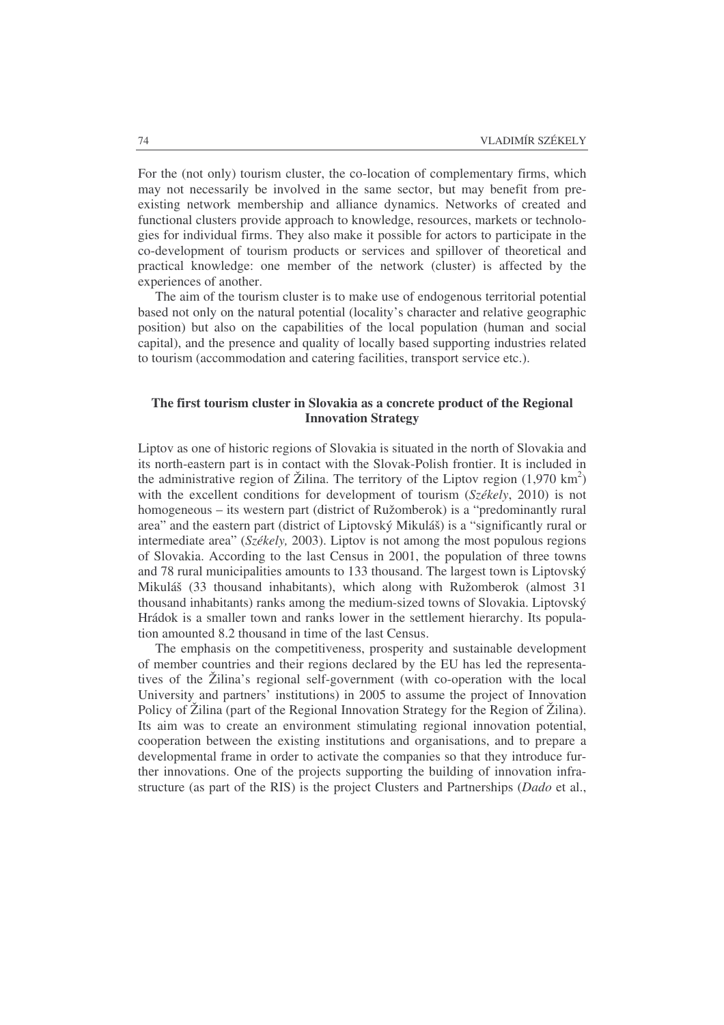For the (not only) tourism cluster, the co-location of complementary firms, which may not necessarily be involved in the same sector, but may benefit from preexisting network membership and alliance dynamics. Networks of created and functional clusters provide approach to knowledge, resources, markets or technologies for individual firms. They also make it possible for actors to participate in the co-development of tourism products or services and spillover of theoretical and practical knowledge: one member of the network (cluster) is affected by the experiences of another.

The aim of the tourism cluster is to make use of endogenous territorial potential based not only on the natural potential (locality's character and relative geographic position) but also on the capabilities of the local population (human and social capital), and the presence and quality of locally based supporting industries related to tourism (accommodation and catering facilities, transport service etc.).

# **The first tourism cluster in Slovakia as a concrete product of the Regional Innovation Strategy**

Liptov as one of historic regions of Slovakia is situated in the north of Slovakia and its north-eastern part is in contact with the Slovak-Polish frontier. It is included in the administrative region of Žilina. The territory of the Liptov region  $(1,970 \text{ km}^2)$ with the excellent conditions for development of tourism (*Székely*, 2010) is not homogeneous – its western part (district of Ružomberok) is a "predominantly rural area" and the eastern part (district of Liptovský Mikuláš) is a "significantly rural or intermediate area" (*Székely,* 2003). Liptov is not among the most populous regions of Slovakia. According to the last Census in 2001, the population of three towns and 78 rural municipalities amounts to 133 thousand. The largest town is Liptovský Mikuláš (33 thousand inhabitants), which along with Ružomberok (almost 31 thousand inhabitants) ranks among the medium-sized towns of Slovakia. Liptovský Hrádok is a smaller town and ranks lower in the settlement hierarchy. Its population amounted 8.2 thousand in time of the last Census.

The emphasis on the competitiveness, prosperity and sustainable development of member countries and their regions declared by the EU has led the representatives of the Žilina's regional self-government (with co-operation with the local University and partners' institutions) in 2005 to assume the project of Innovation Policy of Žilina (part of the Regional Innovation Strategy for the Region of Žilina). Its aim was to create an environment stimulating regional innovation potential, cooperation between the existing institutions and organisations, and to prepare a developmental frame in order to activate the companies so that they introduce further innovations. One of the projects supporting the building of innovation infrastructure (as part of the RIS) is the project Clusters and Partnerships (*Dado* et al.,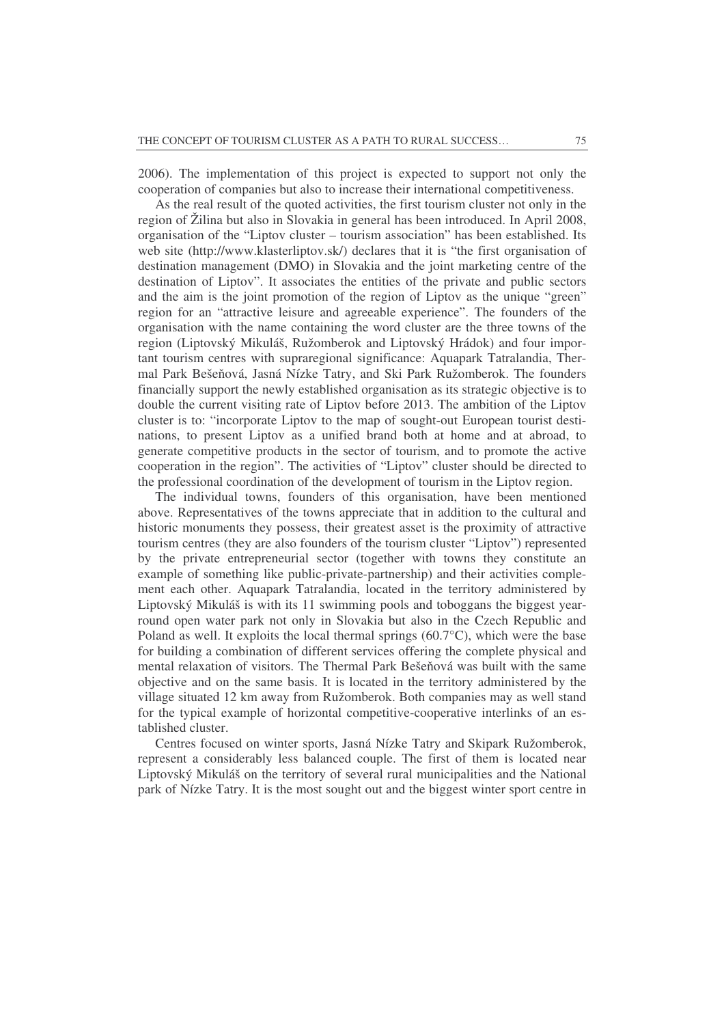2006). The implementation of this project is expected to support not only the cooperation of companies but also to increase their international competitiveness.

As the real result of the quoted activities, the first tourism cluster not only in the region of Žilina but also in Slovakia in general has been introduced. In April 2008, organisation of the "Liptov cluster – tourism association" has been established. Its web site (http://www.klasterliptov.sk/) declares that it is "the first organisation of destination management (DMO) in Slovakia and the joint marketing centre of the destination of Liptov". It associates the entities of the private and public sectors and the aim is the joint promotion of the region of Liptov as the unique "green" region for an "attractive leisure and agreeable experience". The founders of the organisation with the name containing the word cluster are the three towns of the region (Liptovský Mikuláš, Ružomberok and Liptovský Hrádok) and four important tourism centres with supraregional significance: Aquapark Tatralandia, Thermal Park Bešeňová, Jasná Nízke Tatry, and Ski Park Ružomberok. The founders financially support the newly established organisation as its strategic objective is to double the current visiting rate of Liptov before 2013. The ambition of the Liptov cluster is to: "incorporate Liptov to the map of sought-out European tourist destinations, to present Liptov as a unified brand both at home and at abroad, to generate competitive products in the sector of tourism, and to promote the active cooperation in the region". The activities of "Liptov" cluster should be directed to the professional coordination of the development of tourism in the Liptov region.

The individual towns, founders of this organisation, have been mentioned above. Representatives of the towns appreciate that in addition to the cultural and historic monuments they possess, their greatest asset is the proximity of attractive tourism centres (they are also founders of the tourism cluster "Liptov") represented by the private entrepreneurial sector (together with towns they constitute an example of something like public-private-partnership) and their activities complement each other. Aquapark Tatralandia, located in the territory administered by Liptovský Mikuláš is with its 11 swimming pools and toboggans the biggest yearround open water park not only in Slovakia but also in the Czech Republic and Poland as well. It exploits the local thermal springs (60.7°C), which were the base for building a combination of different services offering the complete physical and mental relaxation of visitors. The Thermal Park Bešeňová was built with the same objective and on the same basis. It is located in the territory administered by the village situated 12 km away from Ružomberok. Both companies may as well stand for the typical example of horizontal competitive-cooperative interlinks of an established cluster.

Centres focused on winter sports, Jasná Nízke Tatry and Skipark Ružomberok, represent a considerably less balanced couple. The first of them is located near Liptovský Mikuláš on the territory of several rural municipalities and the National park of Nízke Tatry. It is the most sought out and the biggest winter sport centre in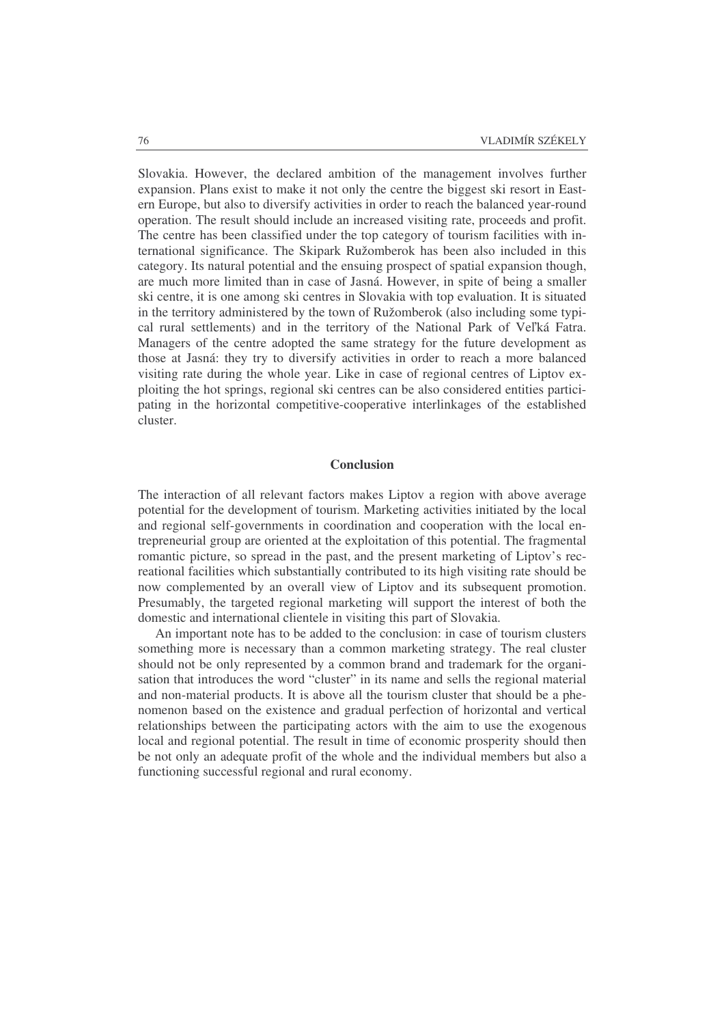Slovakia. However, the declared ambition of the management involves further expansion. Plans exist to make it not only the centre the biggest ski resort in Eastern Europe, but also to diversify activities in order to reach the balanced year-round operation. The result should include an increased visiting rate, proceeds and profit. The centre has been classified under the top category of tourism facilities with international significance. The Skipark Ružomberok has been also included in this category. Its natural potential and the ensuing prospect of spatial expansion though, are much more limited than in case of Jasná. However, in spite of being a smaller ski centre, it is one among ski centres in Slovakia with top evaluation. It is situated in the territory administered by the town of Ružomberok (also including some typical rural settlements) and in the territory of the National Park of Veľká Fatra. Managers of the centre adopted the same strategy for the future development as those at Jasná: they try to diversify activities in order to reach a more balanced visiting rate during the whole year. Like in case of regional centres of Liptov exploiting the hot springs, regional ski centres can be also considered entities participating in the horizontal competitive-cooperative interlinkages of the established cluster.

### **Conclusion**

The interaction of all relevant factors makes Liptov a region with above average potential for the development of tourism. Marketing activities initiated by the local and regional self-governments in coordination and cooperation with the local entrepreneurial group are oriented at the exploitation of this potential. The fragmental romantic picture, so spread in the past, and the present marketing of Liptov's recreational facilities which substantially contributed to its high visiting rate should be now complemented by an overall view of Liptov and its subsequent promotion. Presumably, the targeted regional marketing will support the interest of both the domestic and international clientele in visiting this part of Slovakia.

An important note has to be added to the conclusion: in case of tourism clusters something more is necessary than a common marketing strategy. The real cluster should not be only represented by a common brand and trademark for the organisation that introduces the word "cluster" in its name and sells the regional material and non-material products. It is above all the tourism cluster that should be a phenomenon based on the existence and gradual perfection of horizontal and vertical relationships between the participating actors with the aim to use the exogenous local and regional potential. The result in time of economic prosperity should then be not only an adequate profit of the whole and the individual members but also a functioning successful regional and rural economy.